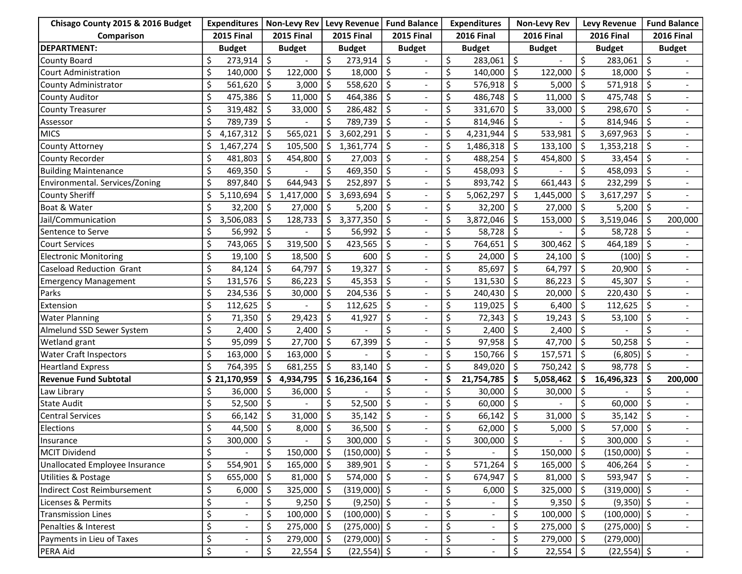| Chisago County 2015 & 2016 Budget | <b>Expenditures</b> |                | Non-Levy Rev        |                          | Levy Revenue      |                | Fund Balance        |                          | <b>Expenditures</b>                 |                          | <b>Non-Levy Rev</b> |                | <b>Levy Revenue</b> |                | <b>Fund Balance</b> |                          |
|-----------------------------------|---------------------|----------------|---------------------|--------------------------|-------------------|----------------|---------------------|--------------------------|-------------------------------------|--------------------------|---------------------|----------------|---------------------|----------------|---------------------|--------------------------|
| Comparison                        | <b>2015 Final</b>   |                | <b>2015 Final</b>   |                          | <b>2015 Final</b> |                | <b>2015 Final</b>   |                          | <b>2016 Final</b>                   |                          | <b>2016 Final</b>   |                | <b>2016 Final</b>   |                | <b>2016 Final</b>   |                          |
| <b>DEPARTMENT:</b>                | <b>Budget</b>       |                | <b>Budget</b>       |                          | <b>Budget</b>     |                | <b>Budget</b>       |                          | <b>Budget</b>                       |                          | <b>Budget</b>       |                | <b>Budget</b>       |                | <b>Budget</b>       |                          |
| <b>County Board</b>               | \$                  | 273,914        | \$                  |                          | \$                | 273,914        | \$                  |                          | \$                                  | 283,061                  | \$                  |                | \$                  | 283,061        | \$                  |                          |
| <b>Court Administration</b>       | \$                  | 140,000        | \$                  | 122,000                  | \$                | 18,000         | \$ ا                |                          | \$                                  | 140,000                  | \$                  | 122,000        | \$                  | 18,000         | Ś.                  |                          |
| County Administrator              | \$                  | 561,620        | \$                  | 3,000                    | Ŝ.                | 558,620        | \$                  |                          | \$                                  | 576,918                  | \$                  | 5,000          | \$                  | 571,918        | \$                  |                          |
| <b>County Auditor</b>             | \$                  | 475,386        | Ŝ.                  | 11,000                   | Ŝ.                | 464,386        | \$                  | $\overline{\phantom{0}}$ | \$                                  | 486,748                  | Ŝ.                  | 11,000         | Ŝ.                  | 475,748        | S                   | $\overline{\phantom{a}}$ |
| <b>County Treasurer</b>           | \$                  | 319,482        | Ŝ.                  | 33,000                   | -\$               | 286,482        | Ŝ.                  |                          | \$                                  | 331,670                  | \$                  | 33,000         | \$                  | 298,670        | \$                  |                          |
| Assessor                          | \$                  | 789,739        | \$                  |                          | \$                | 789,739        | \$ ا                |                          | \$                                  | 814,946                  | \$                  |                | \$                  | 814,946        | Ś                   |                          |
| <b>MICS</b>                       | \$                  | 4,167,312      | \$                  | 565,021                  | \$                | 3,602,291      | \$                  |                          | \$                                  | 4,231,944                | \$                  | 533,981        | \$                  | 3,697,963      | \$                  |                          |
| <b>County Attorney</b>            | \$                  | 1,467,274      | $\ddot{\mathsf{S}}$ | 105,500                  | \$                | 1,361,774      | $\zeta$             |                          | \$                                  | 1,486,318                | \$                  | 133,100        | \$                  | 1,353,218      | \$                  |                          |
| County Recorder                   | \$                  | 481,803        | Ŝ.                  | 454,800                  | \$                | 27,003         | \$                  |                          | \$                                  | 488,254                  | \$                  | 454,800        | \$                  | 33,454         | Ś                   |                          |
| <b>Building Maintenance</b>       | \$                  | 469,350        | \$                  |                          | Ś                 | 469,350        | Ŝ.                  | $\overline{a}$           | \$                                  | 458,093                  | \$                  |                | Ś                   | 458,093        | Ś                   |                          |
| Environmental. Services/Zoning    | \$                  | 897,840        | \$                  | 644,943                  | Ś                 | 252,897        | -\$                 |                          | \$                                  | 893,742                  | \$                  | 661,443        | Ŝ.                  | 232,299        | Ś.                  | $\blacksquare$           |
| <b>County Sheriff</b>             | \$                  | 5,110,694      | \$                  | 1,417,000                | S                 | 3,693,694      | \$                  |                          | \$                                  | 5,062,297                | \$                  | 1,445,000      | -\$                 | 3,617,297      | \$                  |                          |
| Boat & Water                      | \$                  | 32,200         | \$                  | 27,000                   | \$                | 5,200          | $\ddot{\mathsf{s}}$ |                          | \$                                  | 32,200                   | \$                  | 27,000         | \$                  | 5,200          | \$                  |                          |
| Jail/Communication                | \$                  | 3,506,083      | \$                  | 128,733                  | Ś                 | 3,377,350      | $\zeta$             |                          | \$                                  | 3,872,046                | Ŝ                   | 153,000        | \$                  | 3,519,046      | \$                  | 200,000                  |
| Sentence to Serve                 | \$                  | 56,992         | \$                  |                          | Ś                 | 56,992         | \$                  | $\qquad \qquad -$        | \$                                  | 58,728                   | \$                  |                | \$                  | 58,728         | \$                  |                          |
| Court Services                    | \$                  | 743,065        | Ŝ.                  | 319,500                  | Ś.                | 423,565        | S.                  |                          | \$                                  | 764,651                  | \$                  | 300,462        | \$                  | 464,189        | Ś.                  |                          |
| <b>Electronic Monitoring</b>      | \$                  | 19,100         | \$                  | 18,500                   | \$                | 600            | S.                  |                          | \$                                  | 24,000                   | \$                  | 24,100         | \$                  | (100)          | \$                  |                          |
| <b>Caseload Reduction Grant</b>   | \$                  | 84,124         | \$                  | 64,797                   | \$                | 19,327         | S.                  |                          | \$                                  | 85,697                   | \$                  | 64,797         | \$                  | 20,900         |                     |                          |
| <b>Emergency Management</b>       | \$                  | 131,576        | $\ddot{\mathsf{S}}$ | 86,223                   | \$                | 45,353         | $\ddot{\mathsf{S}}$ |                          | \$                                  | 131,530                  | \$                  | 86,223         | \$                  | 45,307         | \$                  |                          |
| Parks                             | \$                  | 234,536        | \$                  | 30,000                   | \$                | 204,536        | \$ ا                |                          | \$                                  | 240,430                  | \$                  | 20,000         | \$                  | 220,430        | \$                  |                          |
| Extension                         | \$                  | 112,625        | Ŝ.                  |                          | Ś                 | 112,625        | Ŝ.                  |                          | \$                                  | 119,025                  | \$                  | 6,400          | \$                  | 112,625        | Ś                   |                          |
| <b>Water Planning</b>             | \$                  | 71,350         | \$                  | 29,423                   | Ś                 | 41,927         | \$                  |                          | \$                                  | 72,343                   | \$                  | 19,243         | Ŝ.                  | 53,100         | \$                  | $\blacksquare$           |
| Almelund SSD Sewer System         | \$                  | 2,400          | \$                  | 2,400                    | \$                |                | \$                  |                          | \$                                  | 2,400                    | \$                  | 2,400          | \$                  |                | Ś                   |                          |
| Wetland grant                     | \$                  | 95,099         | \$                  | 27,700                   | \$                | 67,399         | \$                  |                          | \$                                  | 97,958                   | \$                  | 47,700         | \$                  | 50,258         |                     |                          |
| <b>Water Craft Inspectors</b>     | \$                  | 163,000        | \$                  | 163,000                  | \$                |                | \$                  |                          | \$                                  | 150,766                  | \$                  | 157,571        | \$                  | $(6,805)$ \$   |                     |                          |
| <b>Heartland Express</b>          | \$                  | 764,395        | \$                  | 681,255                  | \$                | 83,140         | \$                  |                          | \$                                  | 849,020                  | \$                  | 750,242        | \$                  | 98,778         | \$                  |                          |
| <b>Revenue Fund Subtotal</b>      |                     | \$21,170,959   | \$                  | 4,934,795                |                   | \$16,236,164   | Ŝ.                  | $\blacksquare$           | \$                                  | 21,754,785               | \$                  | 5,058,462      | \$                  | 16,496,323     | Ś                   | 200,000                  |
| Law Library                       | \$                  | 36,000         | \$                  | 36,000                   | S                 |                | \$                  |                          | \$                                  | 30,000                   | \$                  | 30,000         | -\$                 |                |                     |                          |
| <b>State Audit</b>                | \$                  | 52,500         | \$                  |                          | Ś                 | 52,500         | $\zeta$             |                          | \$                                  | 60,000                   | \$                  |                | Ś                   | 60,000         |                     |                          |
| <b>Central Services</b>           | \$                  | 66,142         | \$                  | 31,000                   | \$                | 35,142         | $\zeta$             |                          | \$                                  | 66,142                   | \$                  | 31,000         | \$                  | 35,142         | Ś.                  |                          |
| Elections                         | \$                  | 44,500         | \$                  | 8,000                    | Ś.                | 36,500         | \$ ا                |                          | \$                                  | 62,000                   | Ś.                  | 5,000          | \$                  | 57,000         | \$                  |                          |
| Insurance                         | \$                  | $300,000$   \$ |                     | $\overline{\phantom{a}}$ | \$                | $300,000$   \$ |                     | $\overline{\phantom{a}}$ | \$                                  | $300,000$   \$           |                     | $\blacksquare$ | \$.                 | $300,000$   \$ |                     | $\blacksquare$           |
| <b>MCIT Dividend</b>              | \$                  |                | \$                  | 150,000                  | \$                | $(150,000)$ \$ |                     |                          | \$                                  |                          | \$                  | 150,000        | \$                  | $(150,000)$ \$ |                     | $\frac{1}{2}$            |
| Unallocated Employee Insurance    | \$                  | 554,901        | $\zeta$             | 165,000                  | \$                | $389,901$   \$ |                     |                          | \$                                  | 571,264                  | \$                  | 165,000        | \$                  | $406,264$   \$ |                     | $\overline{\phantom{a}}$ |
| Utilities & Postage               | \$                  | 655,000        | \$                  | 81,000                   | \$                | 574,000   \$   |                     |                          | \$                                  | 674,947                  | \$                  | 81,000         | \$                  | $593,947$ \$   |                     |                          |
| Indirect Cost Reimbursement       | \$                  | 6,000          | \$                  | 325,000                  | \$                | $(319,000)$ \$ |                     |                          | \$                                  | 6,000                    | \$                  | 325,000        | \$                  | $(319,000)$ \$ |                     | ۰.                       |
| Licenses & Permits                | \$                  |                | \$                  | 9,250                    | -\$               | $(9,250)$ \$   |                     | $\overline{\phantom{a}}$ | \$                                  | $\overline{\phantom{a}}$ | \$                  | 9,350          | -\$                 | $(9,350)$ \$   |                     | $\blacksquare$           |
| <b>Transmission Lines</b>         | \$                  |                | \$                  | 100,000                  | -\$               | $(100,000)$ \$ |                     |                          | \$                                  | $\blacksquare$           | \$                  | 100,000        | -\$                 | $(100,000)$ \$ |                     | $-$                      |
| Penalties & Interest              | \$                  |                | \$                  | 275,000                  | -\$               | $(275,000)$ \$ |                     |                          | \$                                  |                          | \$                  | 275,000        | -\$                 | $(275,000)$ \$ |                     |                          |
| Payments in Lieu of Taxes         | \$                  |                | \$                  | 279,000                  | -\$               | $(279,000)$ \$ |                     |                          | \$                                  | $\blacksquare$           | \$                  | 279,000        | \$                  | (279,000)      |                     |                          |
| PERA Aid                          | \$                  |                | \$                  | 22,554                   | -S                | $(22,554)$ \$  |                     |                          | $\overline{\boldsymbol{\varsigma}}$ |                          | \$                  | 22,554         | \$                  | $(22,554)$ \$  |                     | $\overline{\phantom{a}}$ |